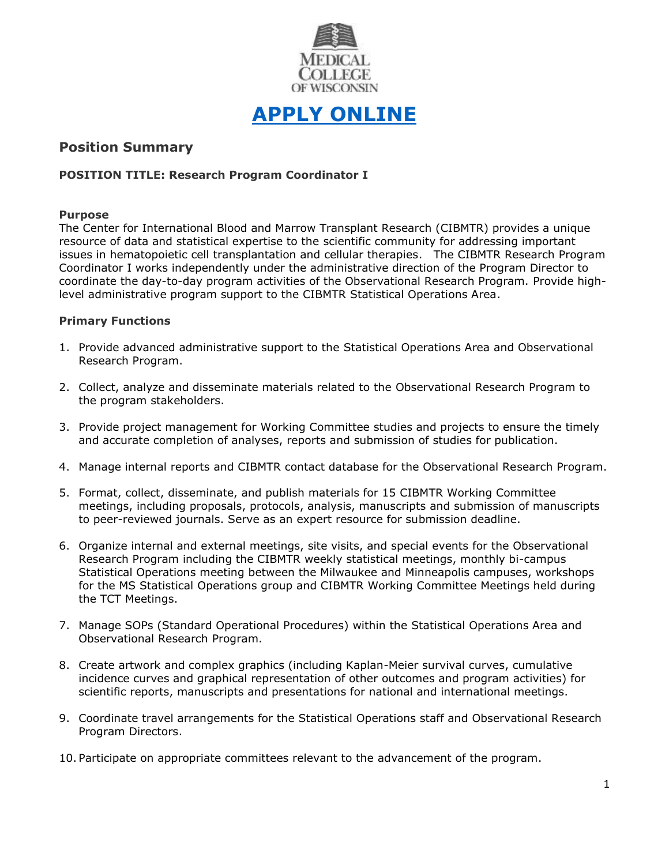

# **[APPLY ONLINE](https://careers.peopleclick.com/careerscp/client_medcollegewi/external_staff/gateway.do?functionName=viewFromLink&jobPostId=23975&localeCode=en-us)**

# **Position Summary**

## **POSITION TITLE: Research Program Coordinator I**

## **Purpose**

The Center for International Blood and Marrow Transplant Research (CIBMTR) provides a unique resource of data and statistical expertise to the scientific community for addressing important issues in hematopoietic cell transplantation and cellular therapies. The CIBMTR Research Program Coordinator I works independently under the administrative direction of the Program Director to coordinate the day-to-day program activities of the Observational Research Program. Provide highlevel administrative program support to the CIBMTR Statistical Operations Area.

## **Primary Functions**

- 1. Provide advanced administrative support to the Statistical Operations Area and Observational Research Program.
- 2. Collect, analyze and disseminate materials related to the Observational Research Program to the program stakeholders.
- 3. Provide project management for Working Committee studies and projects to ensure the timely and accurate completion of analyses, reports and submission of studies for publication.
- 4. Manage internal reports and CIBMTR contact database for the Observational Research Program.
- 5. Format, collect, disseminate, and publish materials for 15 CIBMTR Working Committee meetings, including proposals, protocols, analysis, manuscripts and submission of manuscripts to peer-reviewed journals. Serve as an expert resource for submission deadline.
- 6. Organize internal and external meetings, site visits, and special events for the Observational Research Program including the CIBMTR weekly statistical meetings, monthly bi-campus Statistical Operations meeting between the Milwaukee and Minneapolis campuses, workshops for the MS Statistical Operations group and CIBMTR Working Committee Meetings held during the TCT Meetings.
- 7. Manage SOPs (Standard Operational Procedures) within the Statistical Operations Area and Observational Research Program.
- 8. Create artwork and complex graphics (including Kaplan-Meier survival curves, cumulative incidence curves and graphical representation of other outcomes and program activities) for scientific reports, manuscripts and presentations for national and international meetings.
- 9. Coordinate travel arrangements for the Statistical Operations staff and Observational Research Program Directors.
- 10. Participate on appropriate committees relevant to the advancement of the program.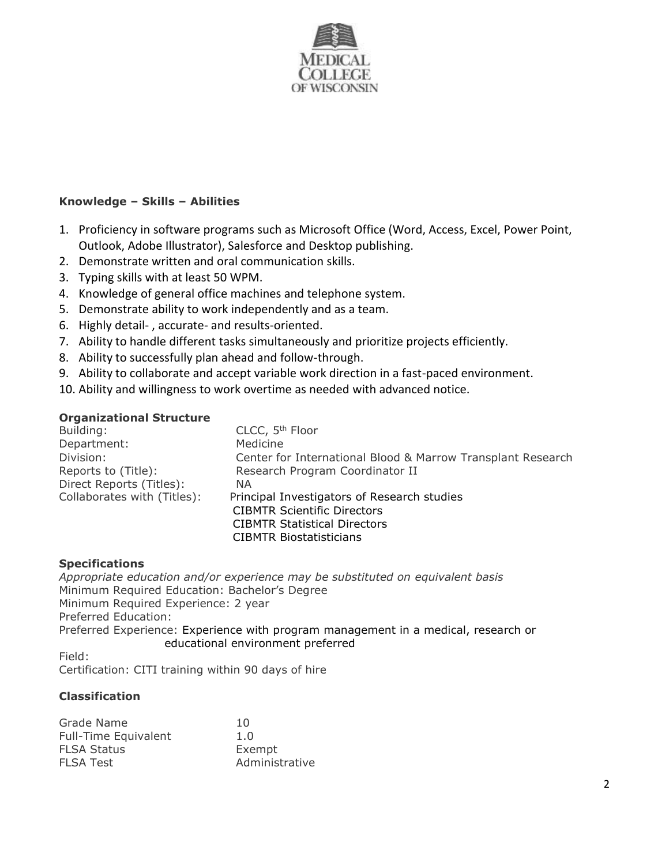

## **Knowledge – Skills – Abilities**

- 1. Proficiency in software programs such as Microsoft Office (Word, Access, Excel, Power Point, Outlook, Adobe Illustrator), Salesforce and Desktop publishing.
- 2. Demonstrate written and oral communication skills.
- 3. Typing skills with at least 50 WPM.
- 4. Knowledge of general office machines and telephone system.
- 5. Demonstrate ability to work independently and as a team.
- 6. Highly detail- , accurate- and results-oriented.
- 7. Ability to handle different tasks simultaneously and prioritize projects efficiently.
- 8. Ability to successfully plan ahead and follow-through.
- 9. Ability to collaborate and accept variable work direction in a fast-paced environment.
- 10. Ability and willingness to work overtime as needed with advanced notice.

## **Organizational Structure**

| Building:                   | CLCC, 5 <sup>th</sup> Floor                                 |  |
|-----------------------------|-------------------------------------------------------------|--|
| Department:                 | Medicine                                                    |  |
| Division:                   | Center for International Blood & Marrow Transplant Research |  |
| Reports to (Title):         | Research Program Coordinator II                             |  |
| Direct Reports (Titles):    | NA                                                          |  |
| Collaborates with (Titles): | Principal Investigators of Research studies                 |  |
|                             | <b>CIBMTR Scientific Directors</b>                          |  |
|                             | <b>CIBMTR Statistical Directors</b>                         |  |
|                             | CIBMTR Biostatisticians                                     |  |

## **Specifications**

*Appropriate education and/or experience may be substituted on equivalent basis* Minimum Required Education: Bachelor's Degree Minimum Required Experience: 2 year Preferred Education: Preferred Experience: Experience with program management in a medical, research or educational environment preferred

Field: Certification: CITI training within 90 days of hire

## **Classification**

| 10             |
|----------------|
| 1.0            |
| Exempt         |
| Administrative |
|                |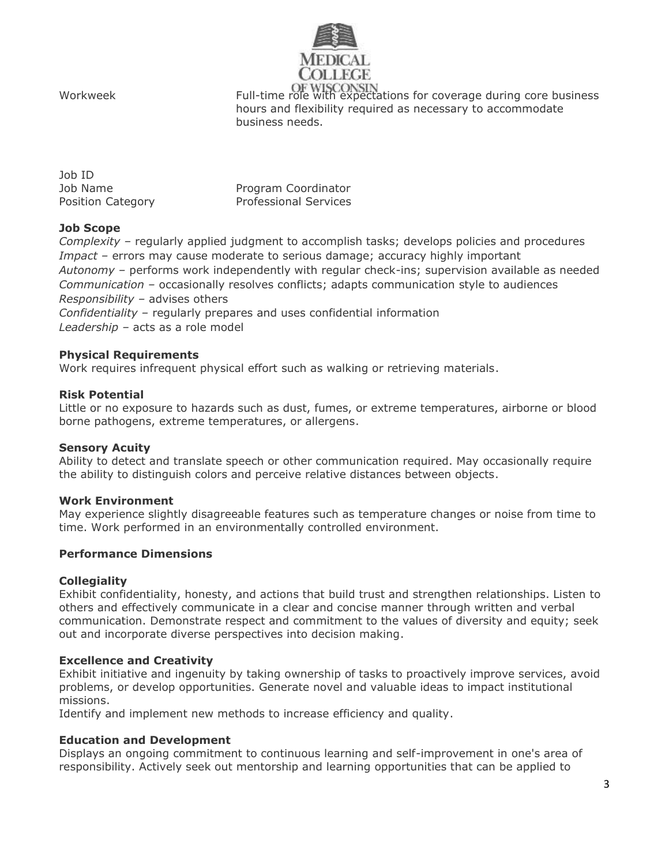

Workweek Full-time role with expectations for coverage during core business hours and flexibility required as necessary to accommodate business needs.

| Job ID            |                              |
|-------------------|------------------------------|
| Job Name          | Program Coordinator          |
| Position Category | <b>Professional Services</b> |

## **Job Scope**

*Complexity –* regularly applied judgment to accomplish tasks; develops policies and procedures *Impact –* errors may cause moderate to serious damage; accuracy highly important *Autonomy –* performs work independently with regular check-ins; supervision available as needed *Communication –* occasionally resolves conflicts; adapts communication style to audiences *Responsibility –* advises others *Confidentiality –* regularly prepares and uses confidential information

*Leadership –* acts as a role model

## **Physical Requirements**

Work requires infrequent physical effort such as walking or retrieving materials.

#### **Risk Potential**

Little or no exposure to hazards such as dust, fumes, or extreme temperatures, airborne or blood borne pathogens, extreme temperatures, or allergens.

#### **Sensory Acuity**

Ability to detect and translate speech or other communication required. May occasionally require the ability to distinguish colors and perceive relative distances between objects.

#### **Work Environment**

May experience slightly disagreeable features such as temperature changes or noise from time to time. Work performed in an environmentally controlled environment.

#### **Performance Dimensions**

## **Collegiality**

Exhibit confidentiality, honesty, and actions that build trust and strengthen relationships. Listen to others and effectively communicate in a clear and concise manner through written and verbal communication. Demonstrate respect and commitment to the values of diversity and equity; seek out and incorporate diverse perspectives into decision making.

## **Excellence and Creativity**

Exhibit initiative and ingenuity by taking ownership of tasks to proactively improve services, avoid problems, or develop opportunities. Generate novel and valuable ideas to impact institutional missions.

Identify and implement new methods to increase efficiency and quality.

#### **Education and Development**

Displays an ongoing commitment to continuous learning and self-improvement in one's area of responsibility. Actively seek out mentorship and learning opportunities that can be applied to